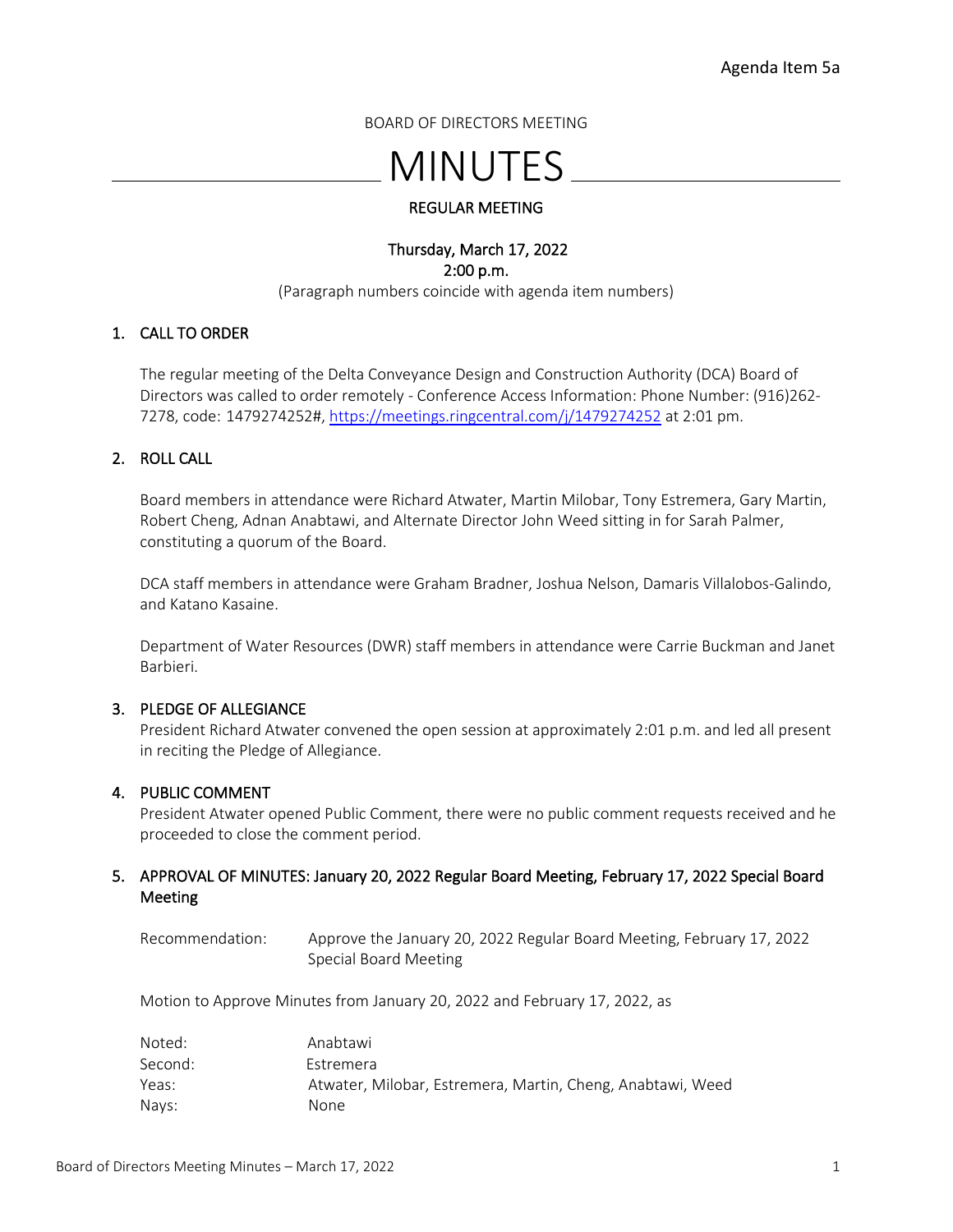BOARD OF DIRECTORS MEETING

# MINUTES

# REGULAR MEETING

## Thursday, March 17, 2022 2:00 p.m. (Paragraph numbers coincide with agenda item numbers)

## 1. CALL TO ORDER

The regular meeting of the Delta Conveyance Design and Construction Authority (DCA) Board of Directors was called to order remotely - Conference Access Information: Phone Number: (916)262- 7278, code: 1479274252#[, https://meetings.ringcentral.com/j/1479274252](https://meetings.ringcentral.com/j/1479274252) at 2:01 pm.

# 2. ROLL CALL

Board members in attendance were Richard Atwater, Martin Milobar, Tony Estremera, Gary Martin, Robert Cheng, Adnan Anabtawi, and Alternate Director John Weed sitting in for Sarah Palmer, constituting a quorum of the Board.

DCA staff members in attendance were Graham Bradner, Joshua Nelson, Damaris Villalobos-Galindo, and Katano Kasaine.

Department of Water Resources (DWR) staff members in attendance were Carrie Buckman and Janet Barbieri.

## 3. PLEDGE OF ALLEGIANCE

President Richard Atwater convened the open session at approximately 2:01 p.m. and led all present in reciting the Pledge of Allegiance.

## 4. PUBLIC COMMENT

President Atwater opened Public Comment, there were no public comment requests received and he proceeded to close the comment period.

# 5. APPROVAL OF MINUTES: January 20, 2022 Regular Board Meeting, February 17, 2022 Special Board Meeting

Recommendation: Approve the January 20, 2022 Regular Board Meeting, February 17, 2022 Special Board Meeting

Motion to Approve Minutes from January 20, 2022 and February 17, 2022, as

| Noted:  | Anabtawi                                                   |
|---------|------------------------------------------------------------|
| Second: | Estremera                                                  |
| Yeas:   | Atwater, Milobar, Estremera, Martin, Cheng, Anabtawi, Weed |
| Navs:   | None.                                                      |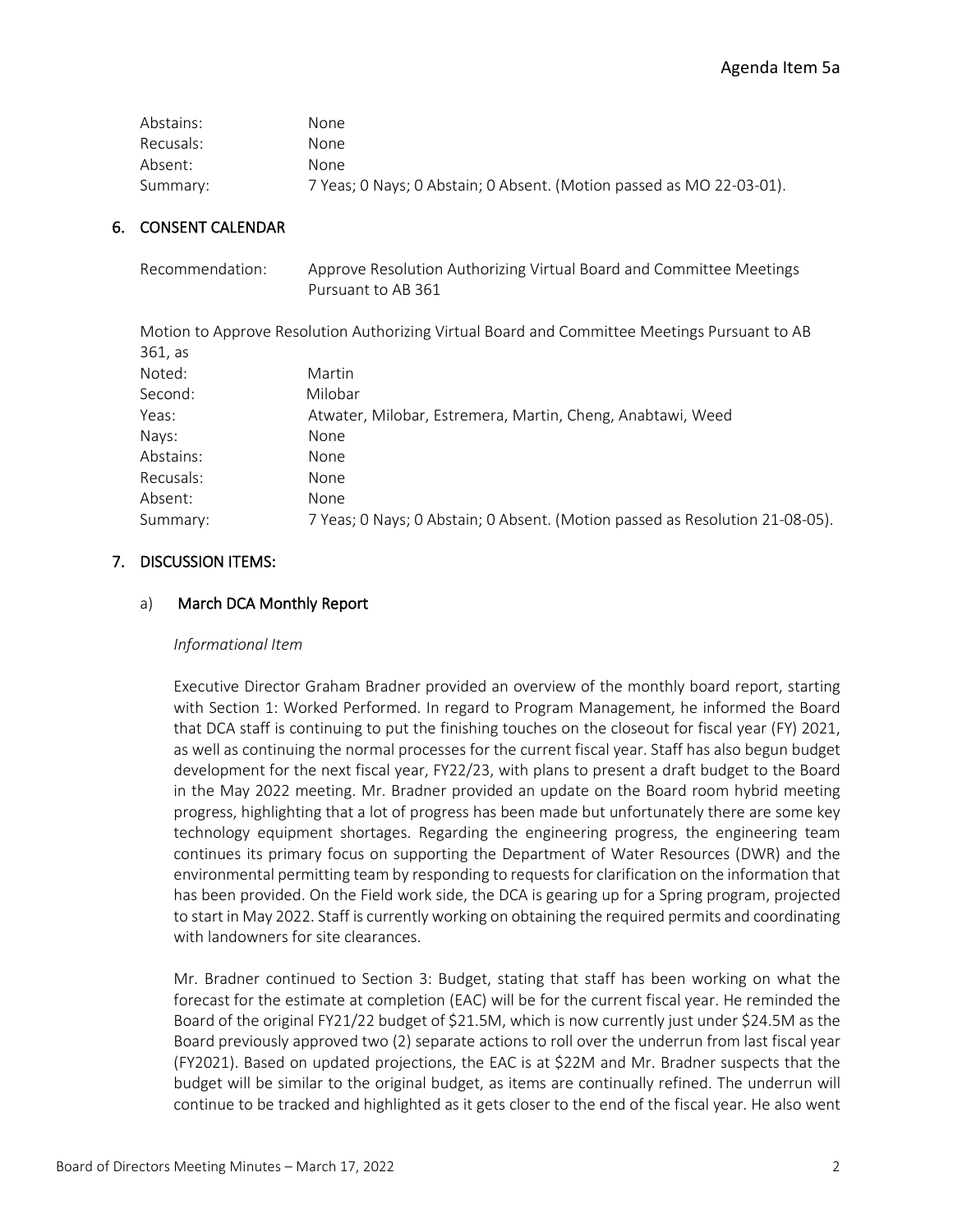# Agenda Item 5a

| Abstains: | None.                                                                |
|-----------|----------------------------------------------------------------------|
| Recusals: | None                                                                 |
| Absent:   | None                                                                 |
| Summary:  | 7 Yeas; 0 Nays; 0 Abstain; 0 Absent. (Motion passed as MO 22-03-01). |

# 6. CONSENT CALENDAR

| Recommendation: | Approve Resolution Authorizing Virtual Board and Committee Meetings |
|-----------------|---------------------------------------------------------------------|
|                 | Pursuant to AB 361                                                  |

Motion to Approve Resolution Authorizing Virtual Board and Committee Meetings Pursuant to AB 361, as

| Noted:    | Martin                                                                       |
|-----------|------------------------------------------------------------------------------|
| Second:   | Milobar                                                                      |
| Yeas:     | Atwater, Milobar, Estremera, Martin, Cheng, Anabtawi, Weed                   |
| Nays:     | None                                                                         |
| Abstains: | <b>None</b>                                                                  |
| Recusals: | None                                                                         |
| Absent:   | None                                                                         |
| Summary:  | 7 Yeas; 0 Nays; 0 Abstain; 0 Absent. (Motion passed as Resolution 21-08-05). |
|           |                                                                              |

## 7. DISCUSSION ITEMS:

## a) March DCA Monthly Report

#### *Informational Item*

Executive Director Graham Bradner provided an overview of the monthly board report, starting with Section 1: Worked Performed. In regard to Program Management, he informed the Board that DCA staff is continuing to put the finishing touches on the closeout for fiscal year (FY) 2021, as well as continuing the normal processes for the current fiscal year. Staff has also begun budget development for the next fiscal year, FY22/23, with plans to present a draft budget to the Board in the May 2022 meeting. Mr. Bradner provided an update on the Board room hybrid meeting progress, highlighting that a lot of progress has been made but unfortunately there are some key technology equipment shortages. Regarding the engineering progress, the engineering team continues its primary focus on supporting the Department of Water Resources (DWR) and the environmental permitting team by responding to requests for clarification on the information that has been provided. On the Field work side, the DCA is gearing up for a Spring program, projected to start in May 2022. Staff is currently working on obtaining the required permits and coordinating with landowners for site clearances.

Mr. Bradner continued to Section 3: Budget, stating that staff has been working on what the forecast for the estimate at completion (EAC) will be for the current fiscal year. He reminded the Board of the original FY21/22 budget of \$21.5M, which is now currently just under \$24.5M as the Board previously approved two (2) separate actions to roll over the underrun from last fiscal year (FY2021). Based on updated projections, the EAC is at \$22M and Mr. Bradner suspects that the budget will be similar to the original budget, as items are continually refined. The underrun will continue to be tracked and highlighted as it gets closer to the end of the fiscal year. He also went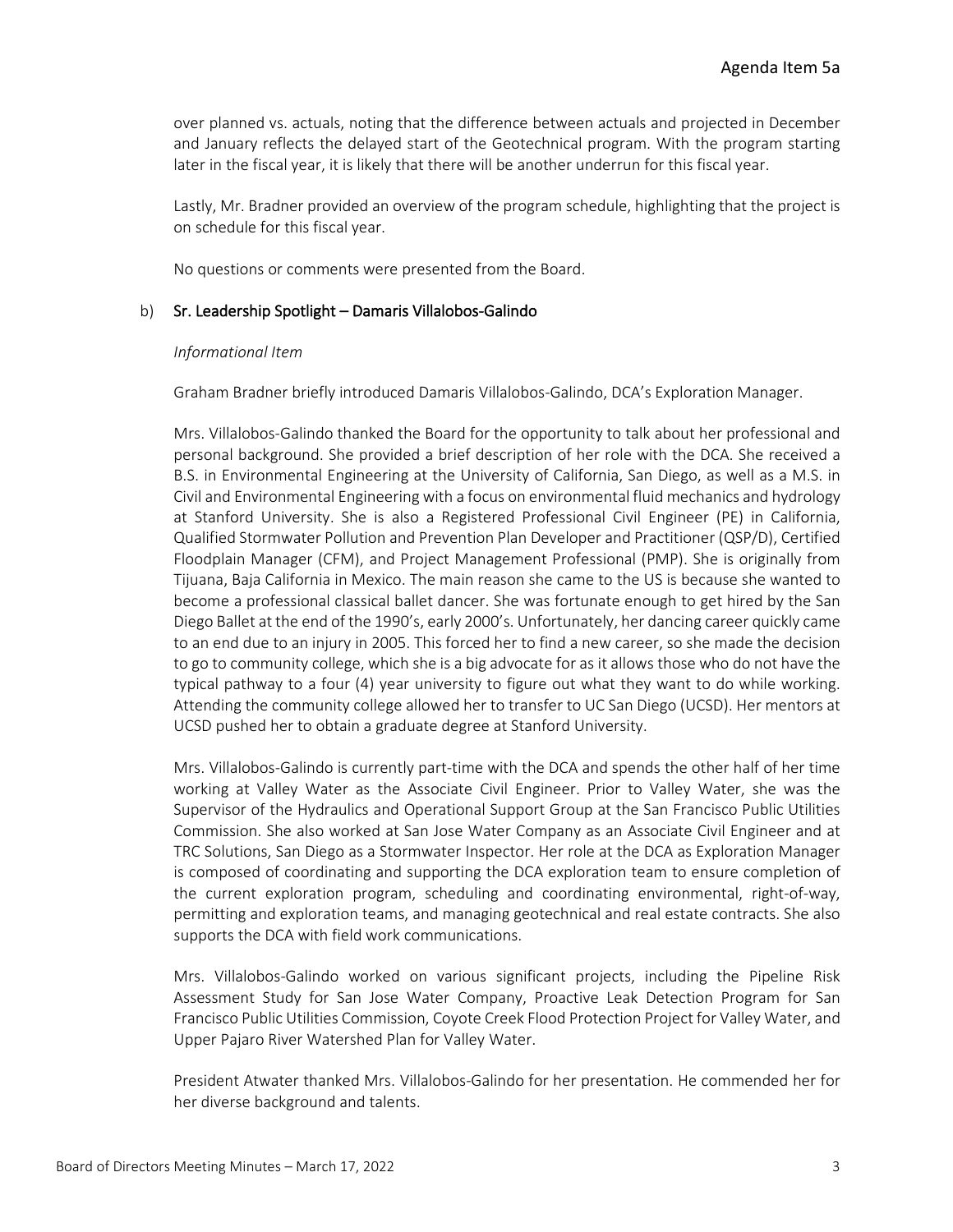over planned vs. actuals, noting that the difference between actuals and projected in December and January reflects the delayed start of the Geotechnical program. With the program starting later in the fiscal year, it is likely that there will be another underrun for this fiscal year.

Lastly, Mr. Bradner provided an overview of the program schedule, highlighting that the project is on schedule for this fiscal year.

No questions or comments were presented from the Board.

#### b) Sr. Leadership Spotlight – Damaris Villalobos-Galindo

#### *Informational Item*

Graham Bradner briefly introduced Damaris Villalobos-Galindo, DCA's Exploration Manager.

Mrs. Villalobos-Galindo thanked the Board for the opportunity to talk about her professional and personal background. She provided a brief description of her role with the DCA. She received a B.S. in Environmental Engineering at the University of California, San Diego, as well as a M.S. in Civil and Environmental Engineering with a focus on environmental fluid mechanics and hydrology at Stanford University. She is also a Registered Professional Civil Engineer (PE) in California, Qualified Stormwater Pollution and Prevention Plan Developer and Practitioner (QSP/D), Certified Floodplain Manager (CFM), and Project Management Professional (PMP). She is originally from Tijuana, Baja California in Mexico. The main reason she came to the US is because she wanted to become a professional classical ballet dancer. She was fortunate enough to get hired by the San Diego Ballet at the end of the 1990's, early 2000's. Unfortunately, her dancing career quickly came to an end due to an injury in 2005. This forced her to find a new career, so she made the decision to go to community college, which she is a big advocate for as it allows those who do not have the typical pathway to a four (4) year university to figure out what they want to do while working. Attending the community college allowed her to transfer to UC San Diego (UCSD). Her mentors at UCSD pushed her to obtain a graduate degree at Stanford University.

Mrs. Villalobos-Galindo is currently part-time with the DCA and spends the other half of her time working at Valley Water as the Associate Civil Engineer. Prior to Valley Water, she was the Supervisor of the Hydraulics and Operational Support Group at the San Francisco Public Utilities Commission. She also worked at San Jose Water Company as an Associate Civil Engineer and at TRC Solutions, San Diego as a Stormwater Inspector. Her role at the DCA as Exploration Manager is composed of coordinating and supporting the DCA exploration team to ensure completion of the current exploration program, scheduling and coordinating environmental, right-of-way, permitting and exploration teams, and managing geotechnical and real estate contracts. She also supports the DCA with field work communications.

Mrs. Villalobos-Galindo worked on various significant projects, including the Pipeline Risk Assessment Study for San Jose Water Company, Proactive Leak Detection Program for San Francisco Public Utilities Commission, Coyote Creek Flood Protection Project for Valley Water, and Upper Pajaro River Watershed Plan for Valley Water.

President Atwater thanked Mrs. Villalobos-Galindo for her presentation. He commended her for her diverse background and talents.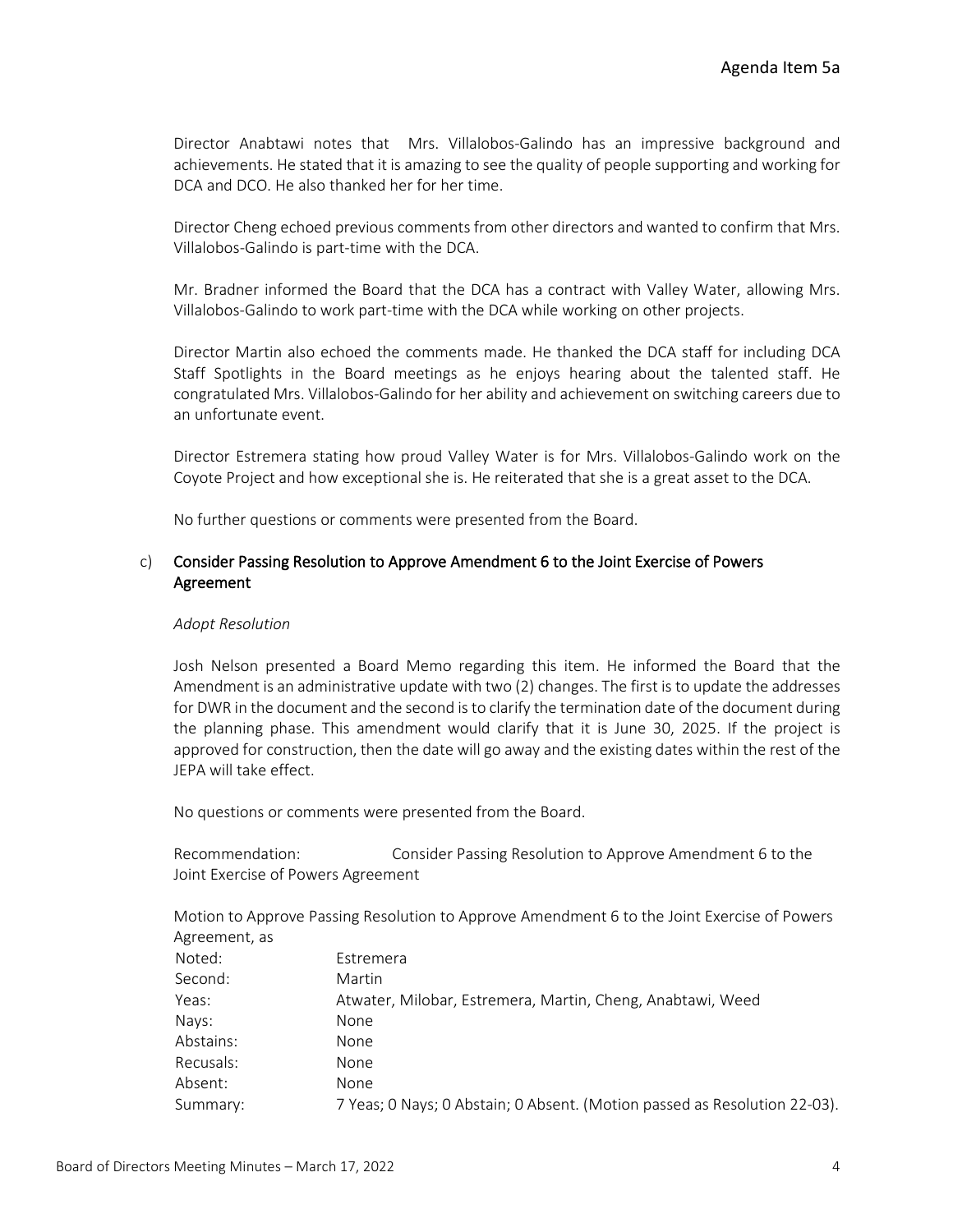Director Anabtawi notes that Mrs. Villalobos-Galindo has an impressive background and achievements. He stated that it is amazing to see the quality of people supporting and working for DCA and DCO. He also thanked her for her time.

Director Cheng echoed previous comments from other directors and wanted to confirm that Mrs. Villalobos-Galindo is part-time with the DCA.

Mr. Bradner informed the Board that the DCA has a contract with Valley Water, allowing Mrs. Villalobos-Galindo to work part-time with the DCA while working on other projects.

Director Martin also echoed the comments made. He thanked the DCA staff for including DCA Staff Spotlights in the Board meetings as he enjoys hearing about the talented staff. He congratulated Mrs. Villalobos-Galindo for her ability and achievement on switching careers due to an unfortunate event.

Director Estremera stating how proud Valley Water is for Mrs. Villalobos-Galindo work on the Coyote Project and how exceptional she is. He reiterated that she is a great asset to the DCA.

No further questions or comments were presented from the Board.

# c) Consider Passing Resolution to Approve Amendment 6 to the Joint Exercise of Powers Agreement

#### *Adopt Resolution*

Josh Nelson presented a Board Memo regarding this item. He informed the Board that the Amendment is an administrative update with two (2) changes. The first is to update the addresses for DWR in the document and the second is to clarify the termination date of the document during the planning phase. This amendment would clarify that it is June 30, 2025. If the project is approved for construction, then the date will go away and the existing dates within the rest of the JEPA will take effect.

No questions or comments were presented from the Board.

Recommendation: Consider Passing Resolution to Approve Amendment 6 to the Joint Exercise of Powers Agreement

Motion to Approve Passing Resolution to Approve Amendment 6 to the Joint Exercise of Powers Agreement, as

| Noted:    | Estremera                                                                 |
|-----------|---------------------------------------------------------------------------|
| Second:   | Martin                                                                    |
| Yeas:     | Atwater, Milobar, Estremera, Martin, Cheng, Anabtawi, Weed                |
| Nays:     | None                                                                      |
| Abstains: | None                                                                      |
| Recusals: | None                                                                      |
| Absent:   | None                                                                      |
| Summary:  | 7 Yeas; 0 Nays; 0 Abstain; 0 Absent. (Motion passed as Resolution 22-03). |